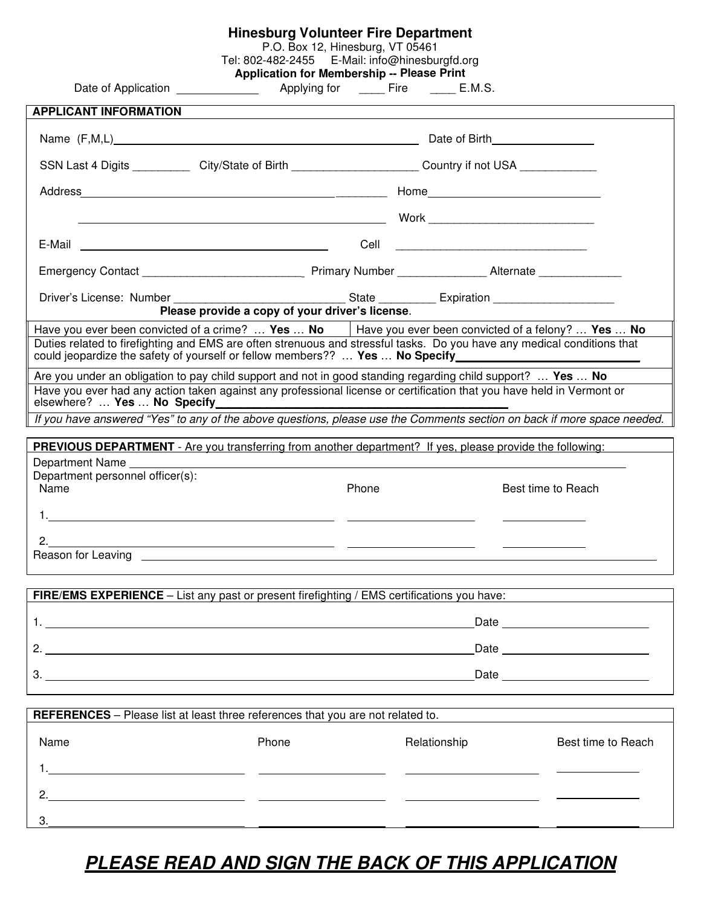## **Hinesburg Volunteer Fire Department**

P.O. Box 12, Hinesburg, VT 05461

Tel: 802-482-2455 E-Mail: info@hinesburgfd.org

|                                      | <b>Application for Membership -- Please Print</b> |  |
|--------------------------------------|---------------------------------------------------|--|
| $\Lambda$ and the state of $\Lambda$ | F:                                                |  |

| Date of Application |  |  |
|---------------------|--|--|
|---------------------|--|--|

Date of Application Applying for \_\_\_\_ Fire \_\_\_\_ E.M.S.

| <b>APPLICANT INFORMATION</b>                                                                                                                                                                                                         |                                                            |              |                                                                                                                                                                                                                                |
|--------------------------------------------------------------------------------------------------------------------------------------------------------------------------------------------------------------------------------------|------------------------------------------------------------|--------------|--------------------------------------------------------------------------------------------------------------------------------------------------------------------------------------------------------------------------------|
| Name (F,M,L) Name (F,M,L) Name (F,M,L) Name (F,M,L) Name (F,M,L) Name (F,M,L) Name (F,M,L) Name (P, M)                                                                                                                               |                                                            |              |                                                                                                                                                                                                                                |
| SSN Last 4 Digits ____________ City/State of Birth _______________________Country if not USA _____________                                                                                                                           |                                                            |              |                                                                                                                                                                                                                                |
|                                                                                                                                                                                                                                      |                                                            |              |                                                                                                                                                                                                                                |
|                                                                                                                                                                                                                                      |                                                            |              |                                                                                                                                                                                                                                |
| E-Mail 2008 2009 2009 2010 2021 2022 2023 2024 2022 2023 2024 2022 2023 2024 2022 2023 2024 2022 202                                                                                                                                 |                                                            |              |                                                                                                                                                                                                                                |
|                                                                                                                                                                                                                                      |                                                            |              |                                                                                                                                                                                                                                |
| Driver's License: Number                                                                                                                                                                                                             | Please provide a copy of your driver's license.            |              |                                                                                                                                                                                                                                |
| Have you ever been convicted of a crime?  Yes  No $\vert$ Have you ever been convicted of a felony?  Yes  No                                                                                                                         |                                                            |              |                                                                                                                                                                                                                                |
| Duties related to firefighting and EMS are often strenuous and stressful tasks. Do you have any medical conditions that<br>could jeopardize the safety of yourself or fellow members??  Yes  No Specify___________________________   |                                                            |              |                                                                                                                                                                                                                                |
| Are you under an obligation to pay child support and not in good standing regarding child support?  Yes  No                                                                                                                          |                                                            |              |                                                                                                                                                                                                                                |
| Have you ever had any action taken against any professional license or certification that you have held in Vermont or<br>elsewhere?  Yes  No Specify                                                                                 |                                                            |              |                                                                                                                                                                                                                                |
| If you have answered "Yes" to any of the above questions, please use the Comments section on back if more space needed.                                                                                                              |                                                            |              |                                                                                                                                                                                                                                |
|                                                                                                                                                                                                                                      |                                                            |              |                                                                                                                                                                                                                                |
| <b>PREVIOUS DEPARTMENT</b> - Are you transferring from another department? If yes, please provide the following:<br><b>Department Name</b>                                                                                           |                                                            |              |                                                                                                                                                                                                                                |
| Department personnel officer(s):<br>Name                                                                                                                                                                                             | Phone                                                      |              | Best time to Reach                                                                                                                                                                                                             |
|                                                                                                                                                                                                                                      |                                                            |              |                                                                                                                                                                                                                                |
| 2.                                                                                                                                                                                                                                   | <u> 1980 - Johann John Stein, fransk politik (f. 1980)</u> |              |                                                                                                                                                                                                                                |
| Reason for Leaving <b>expansion of the contract of the contract of the contract of the contract of the contract of the contract of the contract of the contract of the contract of the contract of the contract of the contract </b> |                                                            |              |                                                                                                                                                                                                                                |
|                                                                                                                                                                                                                                      |                                                            |              |                                                                                                                                                                                                                                |
| <b>FIRE/EMS EXPERIENCE</b> – List any past or present firefighting / EMS certifications you have:                                                                                                                                    |                                                            |              |                                                                                                                                                                                                                                |
| 1.                                                                                                                                                                                                                                   |                                                            |              | Date and the contract of the contract of the contract of the contract of the contract of the contract of the contract of the contract of the contract of the contract of the contract of the contract of the contract of the c |
| 2. $\qquad \qquad$                                                                                                                                                                                                                   |                                                            |              |                                                                                                                                                                                                                                |
| 3.<br><u> 1980 - Jan Sarajević, politički predsjednik i politički karaljski predsjednik i politički karaljski predsjed</u>                                                                                                           |                                                            |              | Date <u>___________________</u>                                                                                                                                                                                                |
|                                                                                                                                                                                                                                      |                                                            |              |                                                                                                                                                                                                                                |
| REFERENCES - Please list at least three references that you are not related to.                                                                                                                                                      |                                                            |              |                                                                                                                                                                                                                                |
| Name                                                                                                                                                                                                                                 | Phone                                                      | Relationship | Best time to Reach                                                                                                                                                                                                             |
|                                                                                                                                                                                                                                      |                                                            |              |                                                                                                                                                                                                                                |
| 2.<br><u> 1990 - Jan James James Barnett, amerikansk politiker (d. 1980)</u>                                                                                                                                                         |                                                            |              |                                                                                                                                                                                                                                |
| 3.                                                                                                                                                                                                                                   |                                                            |              |                                                                                                                                                                                                                                |

## **PLEASE READ AND SIGN THE BACK OF THIS APPLICATION**